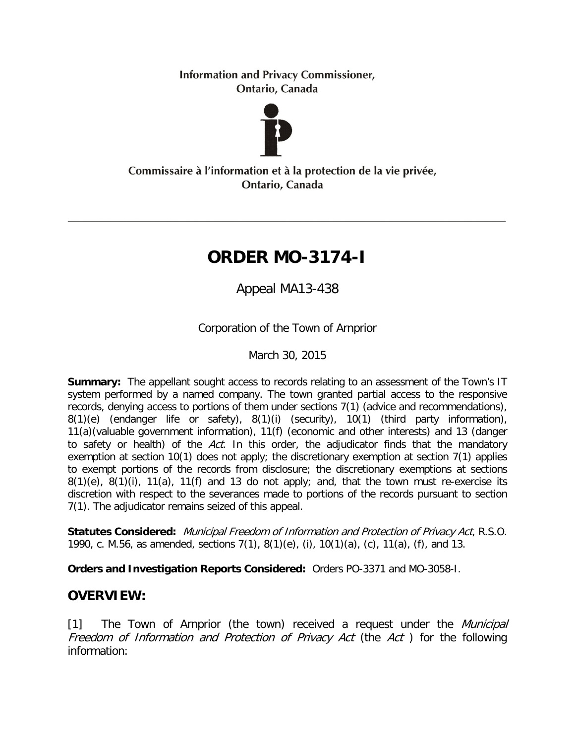**Information and Privacy Commissioner,** Ontario, Canada



### Commissaire à l'information et à la protection de la vie privée, Ontario, Canada

# **ORDER MO-3174-I**

Appeal MA13-438

Corporation of the Town of Arnprior

March 30, 2015

**Summary:** The appellant sought access to records relating to an assessment of the Town's IT system performed by a named company. The town granted partial access to the responsive records, denying access to portions of them under sections 7(1) (advice and recommendations), 8(1)(e) (endanger life or safety), 8(1)(i) (security), 10(1) (third party information), 11(a)(valuable government information), 11(f) (economic and other interests) and 13 (danger to safety or health) of the Act. In this order, the adjudicator finds that the mandatory exemption at section 10(1) does not apply; the discretionary exemption at section 7(1) applies to exempt portions of the records from disclosure; the discretionary exemptions at sections  $8(1)(e)$ ,  $8(1)(i)$ ,  $11(a)$ ,  $11(f)$  and 13 do not apply; and, that the town must re-exercise its discretion with respect to the severances made to portions of the records pursuant to section 7(1). The adjudicator remains seized of this appeal.

**Statutes Considered:** Municipal Freedom of Information and Protection of Privacy Act, R.S.O. 1990, c. M.56, as amended, sections 7(1), 8(1)(e), (i), 10(1)(a), (c), 11(a), (f), and 13.

**Orders and Investigation Reports Considered:** Orders PO-3371 and MO-3058-I.

# **OVERVIEW:**

[1] The Town of Arnprior (the town) received a request under the *Municipal* Freedom of Information and Protection of Privacy Act (the Act) for the following information: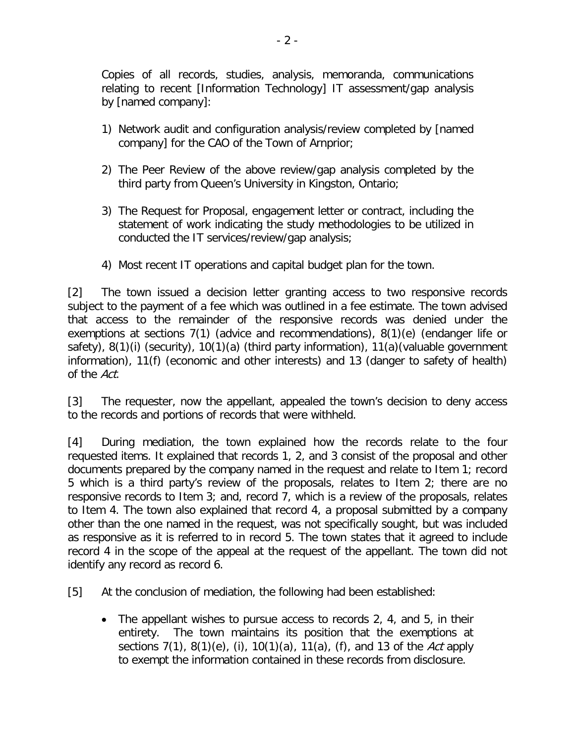Copies of all records, studies, analysis, memoranda, communications relating to recent [Information Technology] IT assessment/gap analysis by [named company]:

- 1) Network audit and configuration analysis/review completed by [named company] for the CAO of the Town of Arnprior;
- 2) The Peer Review of the above review/gap analysis completed by the third party from Queen's University in Kingston, Ontario;
- 3) The Request for Proposal, engagement letter or contract, including the statement of work indicating the study methodologies to be utilized in conducted the IT services/review/gap analysis;
- 4) Most recent IT operations and capital budget plan for the town.

[2] The town issued a decision letter granting access to two responsive records subject to the payment of a fee which was outlined in a fee estimate. The town advised that access to the remainder of the responsive records was denied under the exemptions at sections 7(1) (advice and recommendations), 8(1)(e) (endanger life or safety), 8(1)(i) (security), 10(1)(a) (third party information), 11(a)(valuable government information), 11(f) (economic and other interests) and 13 (danger to safety of health) of the Act.

[3] The requester, now the appellant, appealed the town's decision to deny access to the records and portions of records that were withheld.

[4] During mediation, the town explained how the records relate to the four requested items. It explained that records 1, 2, and 3 consist of the proposal and other documents prepared by the company named in the request and relate to Item 1; record 5 which is a third party's review of the proposals, relates to Item 2; there are no responsive records to Item 3; and, record 7, which is a review of the proposals, relates to Item 4. The town also explained that record 4, a proposal submitted by a company other than the one named in the request, was not specifically sought, but was included as responsive as it is referred to in record 5. The town states that it agreed to include record 4 in the scope of the appeal at the request of the appellant. The town did not identify any record as record 6.

[5] At the conclusion of mediation, the following had been established:

• The appellant wishes to pursue access to records 2, 4, and 5, in their entirety. The town maintains its position that the exemptions at sections  $7(1)$ ,  $8(1)(e)$ , (i),  $10(1)(a)$ ,  $11(a)$ , (f), and 13 of the Act apply to exempt the information contained in these records from disclosure.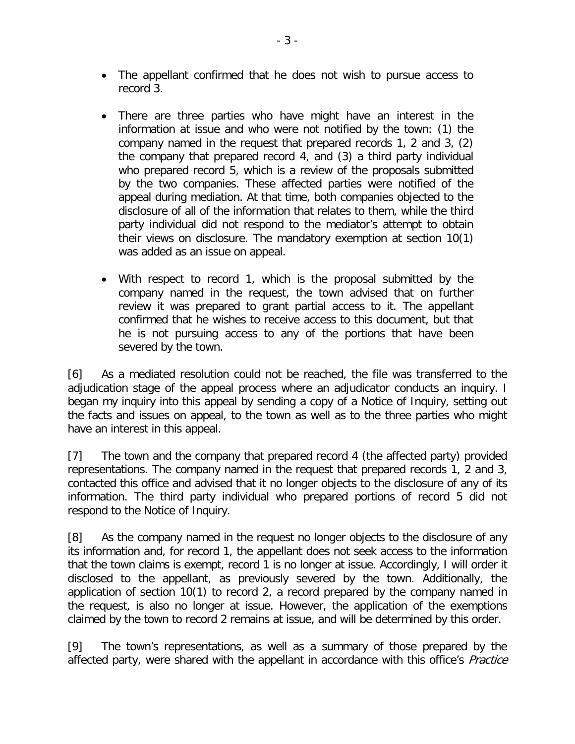- The appellant confirmed that he does not wish to pursue access to record 3.
- There are three parties who have might have an interest in the information at issue and who were not notified by the town: (1) the company named in the request that prepared records 1, 2 and 3, (2) the company that prepared record 4, and (3) a third party individual who prepared record 5, which is a review of the proposals submitted by the two companies. These affected parties were notified of the appeal during mediation. At that time, both companies objected to the disclosure of all of the information that relates to them, while the third party individual did not respond to the mediator's attempt to obtain their views on disclosure. The mandatory exemption at section 10(1) was added as an issue on appeal.
- With respect to record 1, which is the proposal submitted by the company named in the request, the town advised that on further review it was prepared to grant partial access to it. The appellant confirmed that he wishes to receive access to this document, but that he is not pursuing access to any of the portions that have been severed by the town.

[6] As a mediated resolution could not be reached, the file was transferred to the adjudication stage of the appeal process where an adjudicator conducts an inquiry. I began my inquiry into this appeal by sending a copy of a Notice of Inquiry, setting out the facts and issues on appeal, to the town as well as to the three parties who might have an interest in this appeal.

[7] The town and the company that prepared record 4 (the affected party) provided representations. The company named in the request that prepared records 1, 2 and 3, contacted this office and advised that it no longer objects to the disclosure of any of its information. The third party individual who prepared portions of record 5 did not respond to the Notice of Inquiry.

[8] As the company named in the request no longer objects to the disclosure of any its information and, for record 1, the appellant does not seek access to the information that the town claims is exempt, record 1 is no longer at issue. Accordingly, I will order it disclosed to the appellant, as previously severed by the town. Additionally, the application of section 10(1) to record 2, a record prepared by the company named in the request, is also no longer at issue. However, the application of the exemptions claimed by the town to record 2 remains at issue, and will be determined by this order.

[9] The town's representations, as well as a summary of those prepared by the affected party, were shared with the appellant in accordance with this office's *Practice*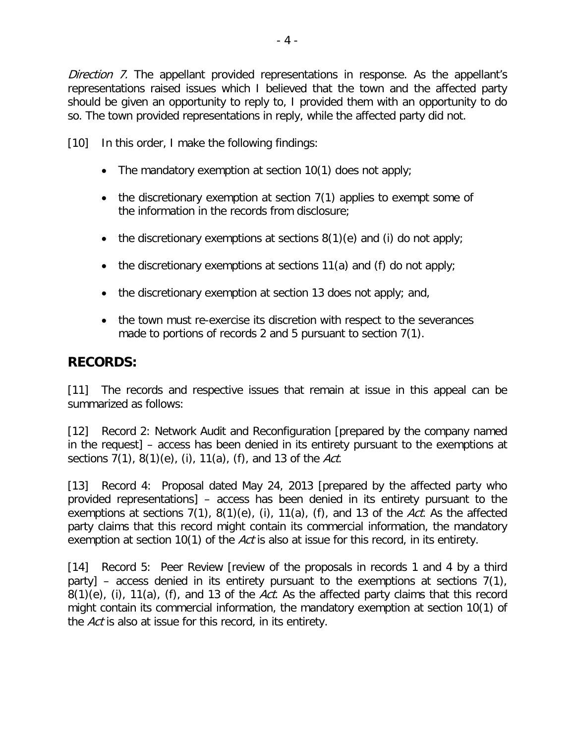Direction 7. The appellant provided representations in response. As the appellant's representations raised issues which I believed that the town and the affected party should be given an opportunity to reply to, I provided them with an opportunity to do so. The town provided representations in reply, while the affected party did not.

[10] In this order, I make the following findings:

- The mandatory exemption at section 10(1) does not apply;
- the discretionary exemption at section 7(1) applies to exempt some of the information in the records from disclosure;
- the discretionary exemptions at sections  $8(1)(e)$  and (i) do not apply;
- the discretionary exemptions at sections 11(a) and (f) do not apply;
- the discretionary exemption at section 13 does not apply; and,
- the town must re-exercise its discretion with respect to the severances made to portions of records 2 and 5 pursuant to section 7(1).

### **RECORDS:**

[11] The records and respective issues that remain at issue in this appeal can be summarized as follows:

[12] Record 2: Network Audit and Reconfiguration [prepared by the company named in the request] – access has been denied in its entirety pursuant to the exemptions at sections  $7(1)$ ,  $8(1)(e)$ , (i),  $11(a)$ , (f), and 13 of the Act.

[13] Record 4: Proposal dated May 24, 2013 [prepared by the affected party who provided representations] – access has been denied in its entirety pursuant to the exemptions at sections  $7(1)$ ,  $8(1)(e)$ ,  $(i)$ ,  $11(a)$ ,  $(f)$ , and 13 of the Act. As the affected party claims that this record might contain its commercial information, the mandatory exemption at section 10(1) of the Act is also at issue for this record, in its entirety.

[14] Record 5: Peer Review [review of the proposals in records 1 and 4 by a third party] – access denied in its entirety pursuant to the exemptions at sections 7(1),  $8(1)(e)$ , (i),  $11(a)$ , (f), and 13 of the Act. As the affected party claims that this record might contain its commercial information, the mandatory exemption at section 10(1) of the Act is also at issue for this record, in its entirety.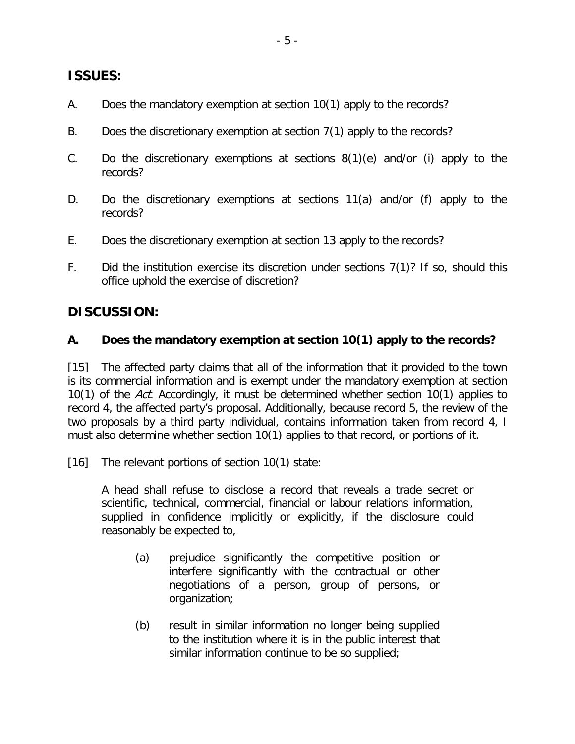# **ISSUES:**

- A. Does the mandatory exemption at section 10(1) apply to the records?
- B. Does the discretionary exemption at section 7(1) apply to the records?
- C. Do the discretionary exemptions at sections 8(1)(e) and/or (i) apply to the records?
- D. Do the discretionary exemptions at sections 11(a) and/or (f) apply to the records?
- E. Does the discretionary exemption at section 13 apply to the records?
- F. Did the institution exercise its discretion under sections 7(1)? If so, should this office uphold the exercise of discretion?

# **DISCUSSION:**

#### **A. Does the mandatory exemption at section 10(1) apply to the records?**

[15] The affected party claims that all of the information that it provided to the town is its commercial information and is exempt under the mandatory exemption at section 10(1) of the Act. Accordingly, it must be determined whether section 10(1) applies to record 4, the affected party's proposal. Additionally, because record 5, the review of the two proposals by a third party individual, contains information taken from record 4, I must also determine whether section 10(1) applies to that record, or portions of it.

[16] The relevant portions of section 10(1) state:

A head shall refuse to disclose a record that reveals a trade secret or scientific, technical, commercial, financial or labour relations information, supplied in confidence implicitly or explicitly, if the disclosure could reasonably be expected to,

- (a) prejudice significantly the competitive position or interfere significantly with the contractual or other negotiations of a person, group of persons, or organization;
- (b) result in similar information no longer being supplied to the institution where it is in the public interest that similar information continue to be so supplied;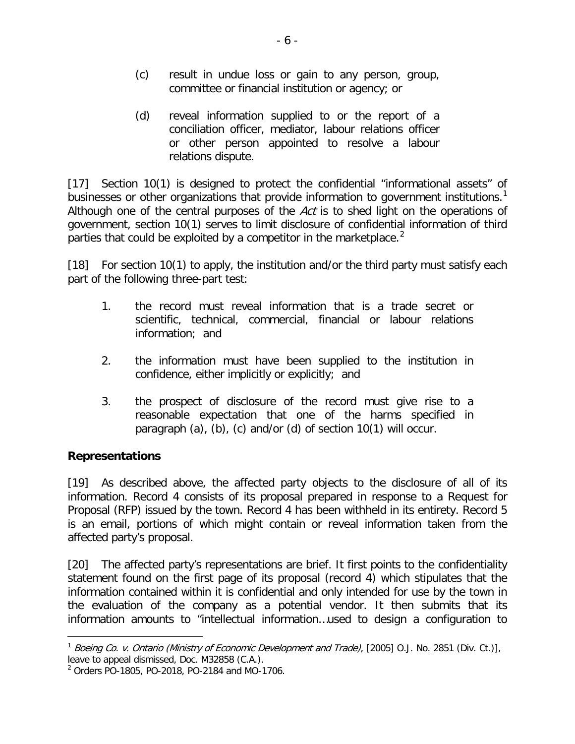- (c) result in undue loss or gain to any person, group, committee or financial institution or agency; or
- (d) reveal information supplied to or the report of a conciliation officer, mediator, labour relations officer or other person appointed to resolve a labour relations dispute.

[17] Section 10(1) is designed to protect the confidential "informational assets" of businesses or other organizations that provide information to government institutions.<sup>[1](#page-5-0)</sup> Although one of the central purposes of the Act is to shed light on the operations of government, section 10(1) serves to limit disclosure of confidential information of third parties that could be exploited by a competitor in the marketplace.<sup>[2](#page-5-1)</sup>

[18] For section 10(1) to apply, the institution and/or the third party must satisfy each part of the following three-part test:

- 1. the record must reveal information that is a trade secret or scientific, technical, commercial, financial or labour relations information; and
- 2. the information must have been supplied to the institution in confidence, either implicitly or explicitly; and
- 3. the prospect of disclosure of the record must give rise to a reasonable expectation that one of the harms specified in paragraph (a), (b), (c) and/or (d) of section 10(1) will occur.

# **Representations**

 $\overline{a}$ 

[19] As described above, the affected party objects to the disclosure of all of its information. Record 4 consists of its proposal prepared in response to a Request for Proposal (RFP) issued by the town. Record 4 has been withheld in its entirety. Record 5 is an email, portions of which might contain or reveal information taken from the affected party's proposal.

[20] The affected party's representations are brief. It first points to the confidentiality statement found on the first page of its proposal (record 4) which stipulates that the information contained within it is confidential and only intended for use by the town in the evaluation of the company as a potential vendor. It then submits that its information amounts to "intellectual information…used to design a configuration to

<span id="page-5-0"></span><sup>&</sup>lt;sup>1</sup> Boeing Co. v. Ontario (Ministry of Economic Development and Trade), [2005] O.J. No. 2851 (Div. Ct.)], leave to appeal dismissed, Doc. M32858 (C.A.).

<span id="page-5-1"></span><sup>2</sup> Orders PO-1805, PO-2018, PO-2184 and MO-1706.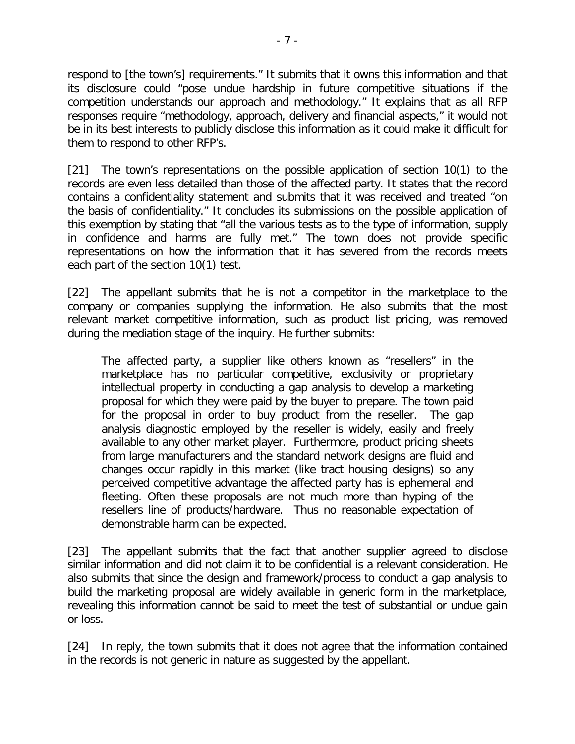respond to [the town's] requirements." It submits that it owns this information and that its disclosure could "pose undue hardship in future competitive situations if the competition understands our approach and methodology." It explains that as all RFP responses require "methodology, approach, delivery and financial aspects," it would not be in its best interests to publicly disclose this information as it could make it difficult for them to respond to other RFP's.

[21] The town's representations on the possible application of section 10(1) to the records are even less detailed than those of the affected party. It states that the record contains a confidentiality statement and submits that it was received and treated "on the basis of confidentiality." It concludes its submissions on the possible application of this exemption by stating that "all the various tests as to the type of information, supply in confidence and harms are fully met." The town does not provide specific representations on how the information that it has severed from the records meets each part of the section 10(1) test.

[22] The appellant submits that he is not a competitor in the marketplace to the company or companies supplying the information. He also submits that the most relevant market competitive information, such as product list pricing, was removed during the mediation stage of the inquiry. He further submits:

The affected party, a supplier like others known as "resellers" in the marketplace has no particular competitive, exclusivity or proprietary intellectual property in conducting a gap analysis to develop a marketing proposal for which they were paid by the buyer to prepare. The town paid for the proposal in order to buy product from the reseller. The gap analysis diagnostic employed by the reseller is widely, easily and freely available to any other market player. Furthermore, product pricing sheets from large manufacturers and the standard network designs are fluid and changes occur rapidly in this market (like tract housing designs) so any perceived competitive advantage the affected party has is ephemeral and fleeting. Often these proposals are not much more than hyping of the resellers line of products/hardware. Thus no reasonable expectation of demonstrable harm can be expected.

[23] The appellant submits that the fact that another supplier agreed to disclose similar information and did not claim it to be confidential is a relevant consideration. He also submits that since the design and framework/process to conduct a gap analysis to build the marketing proposal are widely available in generic form in the marketplace, revealing this information cannot be said to meet the test of substantial or undue gain or loss.

[24] In reply, the town submits that it does not agree that the information contained in the records is not generic in nature as suggested by the appellant.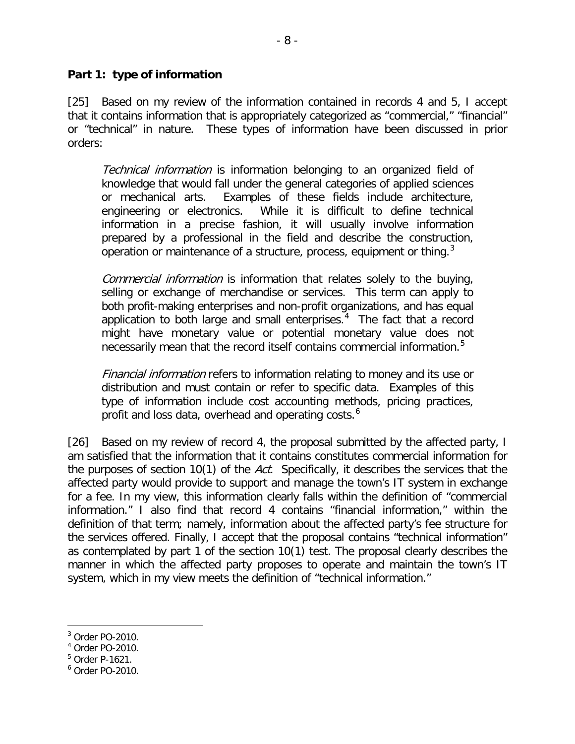[25] Based on my review of the information contained in records 4 and 5, I accept that it contains information that is appropriately categorized as "commercial," "financial" or "technical" in nature. These types of information have been discussed in prior orders:

Technical information is information belonging to an organized field of knowledge that would fall under the general categories of applied sciences or mechanical arts. Examples of these fields include architecture, engineering or electronics. While it is difficult to define technical information in a precise fashion, it will usually involve information prepared by a professional in the field and describe the construction, operation or maintenance of a structure, process, equipment or thing.<sup>[3](#page-7-0)</sup>

Commercial information is information that relates solely to the buying, selling or exchange of merchandise or services. This term can apply to both profit-making enterprises and non-profit organizations, and has equal application to both large and small enterprises.<sup>[4](#page-7-1)</sup> The fact that a record might have monetary value or potential monetary value does not necessarily mean that the record itself contains commercial information. [5](#page-7-2)

Financial information refers to information relating to money and its use or distribution and must contain or refer to specific data. Examples of this type of information include cost accounting methods, pricing practices, profit and loss data, overhead and operating costs.<sup>[6](#page-7-3)</sup>

[26] Based on my review of record 4, the proposal submitted by the affected party, I am satisfied that the information that it contains constitutes commercial information for the purposes of section 10(1) of the Act. Specifically, it describes the services that the affected party would provide to support and manage the town's IT system in exchange for a fee. In my view, this information clearly falls within the definition of "commercial information." I also find that record 4 contains "financial information," within the definition of that term; namely, information about the affected party's fee structure for the services offered. Finally, I accept that the proposal contains "technical information" as contemplated by part 1 of the section 10(1) test. The proposal clearly describes the manner in which the affected party proposes to operate and maintain the town's IT system, which in my view meets the definition of "technical information."

<span id="page-7-2"></span><sup>5</sup> Order P-1621.

<span id="page-7-0"></span><sup>3</sup> Order PO-2010.  $\overline{a}$ 

<span id="page-7-1"></span><sup>4</sup> Order PO-2010.

<span id="page-7-3"></span><sup>6</sup> Order PO-2010.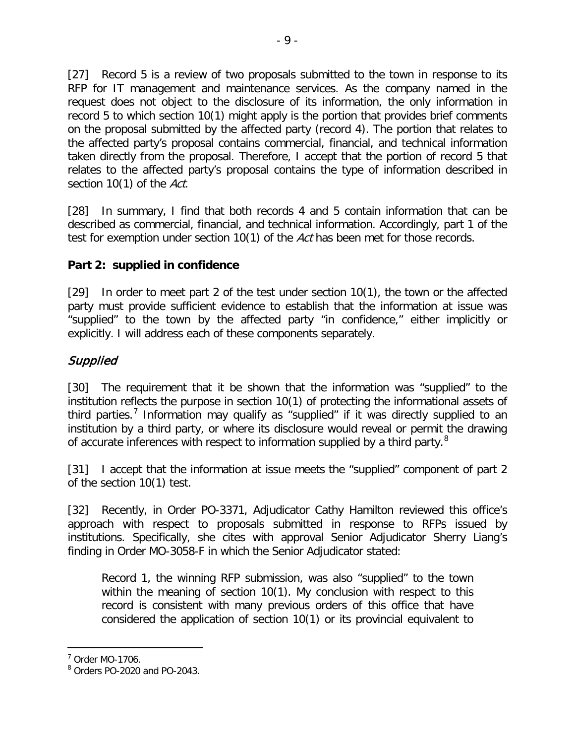[27] Record 5 is a review of two proposals submitted to the town in response to its RFP for IT management and maintenance services. As the company named in the request does not object to the disclosure of its information, the only information in record 5 to which section 10(1) might apply is the portion that provides brief comments on the proposal submitted by the affected party (record 4). The portion that relates to the affected party's proposal contains commercial, financial, and technical information taken directly from the proposal. Therefore, I accept that the portion of record 5 that relates to the affected party's proposal contains the type of information described in section 10(1) of the Act.

[28] In summary, I find that both records 4 and 5 contain information that can be described as commercial, financial, and technical information. Accordingly, part 1 of the test for exemption under section 10(1) of the Act has been met for those records.

# **Part 2: supplied in confidence**

[29] In order to meet part 2 of the test under section 10(1), the town or the affected party must provide sufficient evidence to establish that the information at issue was "supplied" to the town by the affected party "in confidence," either implicitly or explicitly. I will address each of these components separately.

# Supplied

[30] The requirement that it be shown that the information was "supplied" to the institution reflects the purpose in section 10(1) of protecting the informational assets of third parties.<sup>[7](#page-8-0)</sup> Information may qualify as "supplied" if it was directly supplied to an institution by a third party, or where its disclosure would reveal or permit the drawing of accurate inferences with respect to information supplied by a third party.<sup>[8](#page-8-1)</sup>

[31] I accept that the information at issue meets the "supplied" component of part 2 of the section 10(1) test.

[32] Recently, in Order PO-3371, Adjudicator Cathy Hamilton reviewed this office's approach with respect to proposals submitted in response to RFPs issued by institutions. Specifically, she cites with approval Senior Adjudicator Sherry Liang's finding in Order MO-3058-F in which the Senior Adjudicator stated:

Record 1, the winning RFP submission, was also "supplied" to the town within the meaning of section 10(1). My conclusion with respect to this record is consistent with many previous orders of this office that have considered the application of section 10(1) or its provincial equivalent to

<span id="page-8-0"></span><sup>7</sup> Order MO-1706.

<span id="page-8-1"></span> $8$  Orders PO-2020 and PO-2043.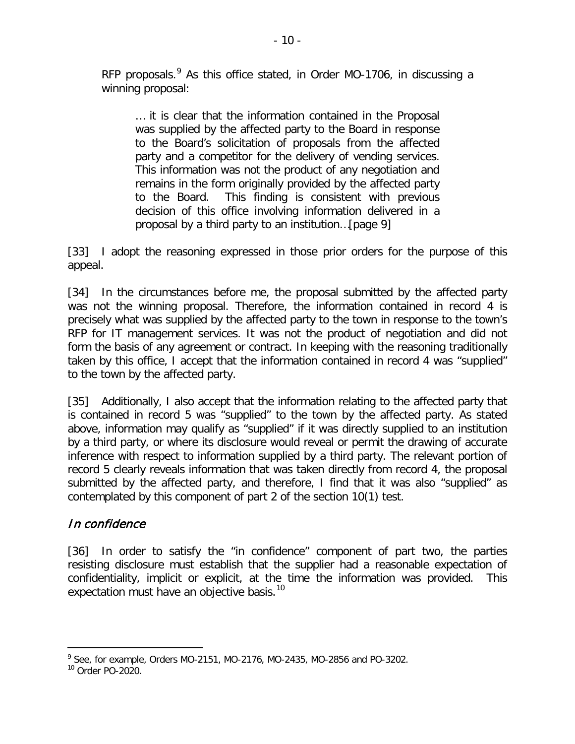RFP proposals.<sup>[9](#page-9-0)</sup> As this office stated, in Order MO-1706, in discussing a winning proposal:

… it is clear that the information contained in the Proposal was supplied by the affected party to the Board in response to the Board's solicitation of proposals from the affected party and a competitor for the delivery of vending services. This information was not the product of any negotiation and remains in the form originally provided by the affected party to the Board. This finding is consistent with previous decision of this office involving information delivered in a proposal by a third party to an institution…[page 9]

[33] I adopt the reasoning expressed in those prior orders for the purpose of this appeal.

[34] In the circumstances before me, the proposal submitted by the affected party was not the winning proposal. Therefore, the information contained in record 4 is precisely what was supplied by the affected party to the town in response to the town's RFP for IT management services. It was not the product of negotiation and did not form the basis of any agreement or contract. In keeping with the reasoning traditionally taken by this office, I accept that the information contained in record 4 was "supplied" to the town by the affected party.

[35] Additionally, I also accept that the information relating to the affected party that is contained in record 5 was "supplied" to the town by the affected party. As stated above, information may qualify as "supplied" if it was directly supplied to an institution by a third party, or where its disclosure would reveal or permit the drawing of accurate inference with respect to information supplied by a third party. The relevant portion of record 5 clearly reveals information that was taken directly from record 4, the proposal submitted by the affected party, and therefore, I find that it was also "supplied" as contemplated by this component of part 2 of the section 10(1) test.

# In confidence

[36] In order to satisfy the "in confidence" component of part two, the parties resisting disclosure must establish that the supplier had a reasonable expectation of confidentiality, implicit or explicit, at the time the information was provided. This expectation must have an objective basis.<sup>[10](#page-9-1)</sup>

<span id="page-9-0"></span> $9$  See, for example, Orders MO-2151, MO-2176, MO-2435, MO-2856 and PO-3202.

<span id="page-9-1"></span><sup>10</sup> Order PO-2020.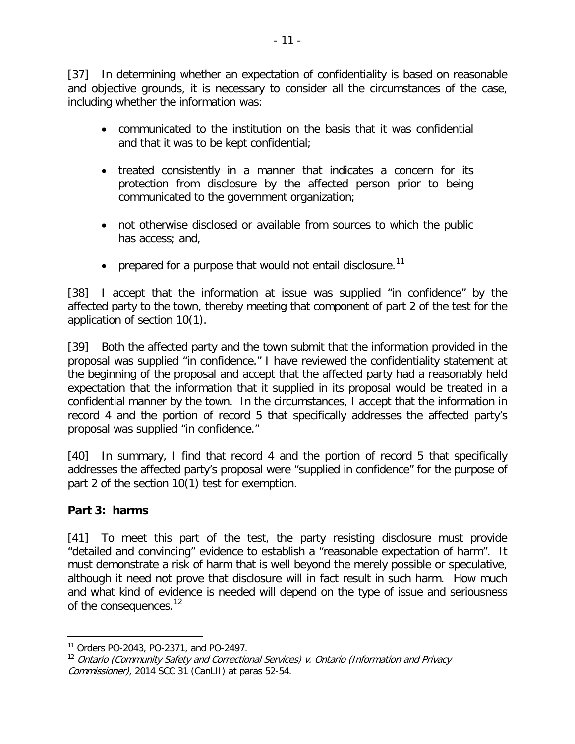[37] In determining whether an expectation of confidentiality is based on reasonable and objective grounds, it is necessary to consider all the circumstances of the case, including whether the information was:

- communicated to the institution on the basis that it was confidential and that it was to be kept confidential;
- treated consistently in a manner that indicates a concern for its protection from disclosure by the affected person prior to being communicated to the government organization;
- not otherwise disclosed or available from sources to which the public has access; and,
- prepared for a purpose that would not entail disclosure.<sup>[11](#page-10-0)</sup>

[38] I accept that the information at issue was supplied "in confidence" by the affected party to the town, thereby meeting that component of part 2 of the test for the application of section 10(1).

[39] Both the affected party and the town submit that the information provided in the proposal was supplied "in confidence." I have reviewed the confidentiality statement at the beginning of the proposal and accept that the affected party had a reasonably held expectation that the information that it supplied in its proposal would be treated in a confidential manner by the town. In the circumstances, I accept that the information in record 4 and the portion of record 5 that specifically addresses the affected party's proposal was supplied "in confidence."

[40] In summary, I find that record 4 and the portion of record 5 that specifically addresses the affected party's proposal were "supplied in confidence" for the purpose of part 2 of the section 10(1) test for exemption.

# **Part 3: harms**

[41] To meet this part of the test, the party resisting disclosure must provide "detailed and convincing" evidence to establish a "reasonable expectation of harm". It must demonstrate a risk of harm that is well beyond the merely possible or speculative, although it need not prove that disclosure will in fact result in such harm. How much and what kind of evidence is needed will depend on the type of issue and seriousness of the consequences.<sup>[12](#page-10-1)</sup>

<span id="page-10-0"></span><sup>11</sup> Orders PO-2043, PO-2371, and PO-2497.  $\overline{a}$ 

<span id="page-10-1"></span> $12$  Ontario (Community Safety and Correctional Services) v. Ontario (Information and Privacy Commissioner), 2014 SCC 31 (CanLII) at paras 52-54.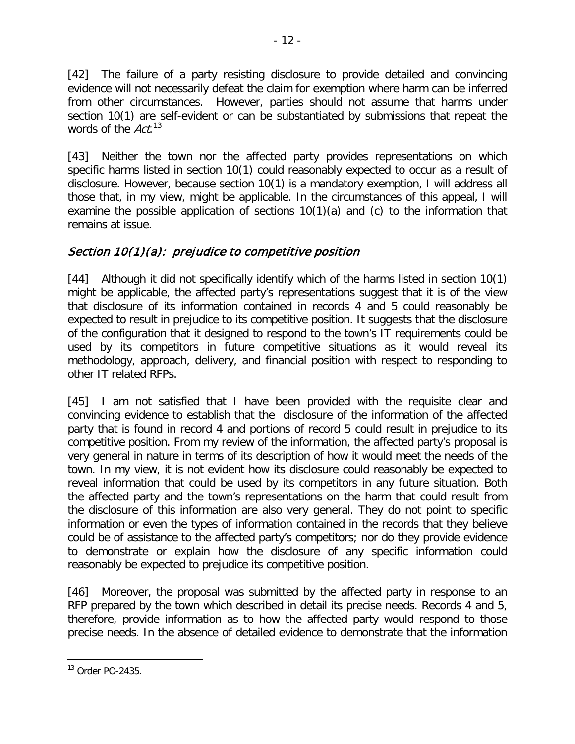[42] The failure of a party resisting disclosure to provide detailed and convincing evidence will not necessarily defeat the claim for exemption where harm can be inferred from other circumstances. However, parties should not assume that harms under section 10(1) are self-evident or can be substantiated by submissions that repeat the words of the Act.<sup>[13](#page-11-0)</sup>

[43] Neither the town nor the affected party provides representations on which specific harms listed in section 10(1) could reasonably expected to occur as a result of disclosure. However, because section 10(1) is a mandatory exemption, I will address all those that, in my view, might be applicable. In the circumstances of this appeal, I will examine the possible application of sections 10(1)(a) and (c) to the information that remains at issue.

# Section 10(1)(a): prejudice to competitive position

[44] Although it did not specifically identify which of the harms listed in section 10(1) might be applicable, the affected party's representations suggest that it is of the view that disclosure of its information contained in records 4 and 5 could reasonably be expected to result in prejudice to its competitive position. It suggests that the disclosure of the configuration that it designed to respond to the town's IT requirements could be used by its competitors in future competitive situations as it would reveal its methodology, approach, delivery, and financial position with respect to responding to other IT related RFPs.

[45] I am not satisfied that I have been provided with the requisite clear and convincing evidence to establish that the disclosure of the information of the affected party that is found in record 4 and portions of record 5 could result in prejudice to its competitive position. From my review of the information, the affected party's proposal is very general in nature in terms of its description of how it would meet the needs of the town. In my view, it is not evident how its disclosure could reasonably be expected to reveal information that could be used by its competitors in any future situation. Both the affected party and the town's representations on the harm that could result from the disclosure of this information are also very general. They do not point to specific information or even the types of information contained in the records that they believe could be of assistance to the affected party's competitors; nor do they provide evidence to demonstrate or explain how the disclosure of any specific information could reasonably be expected to prejudice its competitive position.

[46] Moreover, the proposal was submitted by the affected party in response to an RFP prepared by the town which described in detail its precise needs. Records 4 and 5, therefore, provide information as to how the affected party would respond to those precise needs. In the absence of detailed evidence to demonstrate that the information

<span id="page-11-0"></span><sup>13</sup> Order PO-2435.  $\overline{a}$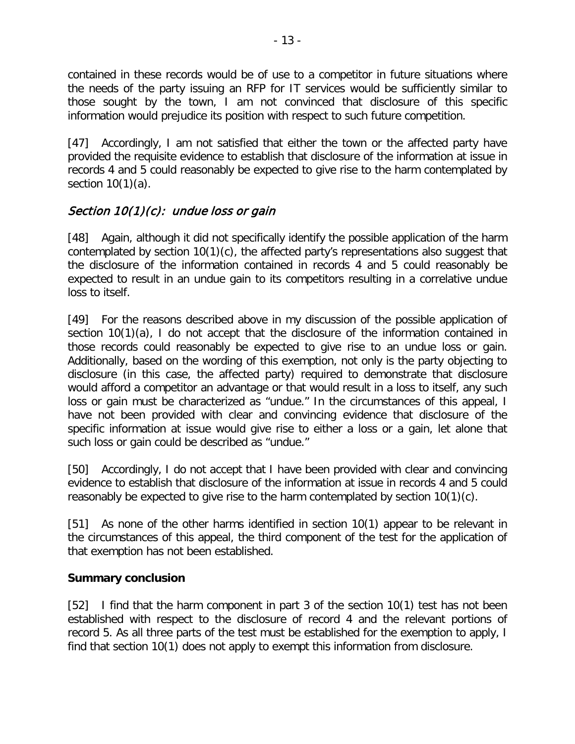contained in these records would be of use to a competitor in future situations where the needs of the party issuing an RFP for IT services would be sufficiently similar to those sought by the town, I am not convinced that disclosure of this specific information would prejudice its position with respect to such future competition.

[47] Accordingly, I am not satisfied that either the town or the affected party have provided the requisite evidence to establish that disclosure of the information at issue in records 4 and 5 could reasonably be expected to give rise to the harm contemplated by section 10(1)(a).

# Section  $10(1)(c)$ : undue loss or gain

[48] Again, although it did not specifically identify the possible application of the harm contemplated by section 10(1)(c), the affected party's representations also suggest that the disclosure of the information contained in records 4 and 5 could reasonably be expected to result in an undue gain to its competitors resulting in a correlative undue loss to itself.

[49] For the reasons described above in my discussion of the possible application of section 10(1)(a), I do not accept that the disclosure of the information contained in those records could reasonably be expected to give rise to an undue loss or gain. Additionally, based on the wording of this exemption, not only is the party objecting to disclosure (in this case, the affected party) required to demonstrate that disclosure would afford a competitor an advantage or that would result in a loss to itself, any such loss or gain must be characterized as "undue." In the circumstances of this appeal, I have not been provided with clear and convincing evidence that disclosure of the specific information at issue would give rise to either a loss or a gain, let alone that such loss or gain could be described as "undue."

[50] Accordingly, I do not accept that I have been provided with clear and convincing evidence to establish that disclosure of the information at issue in records 4 and 5 could reasonably be expected to give rise to the harm contemplated by section 10(1)(c).

[51] As none of the other harms identified in section 10(1) appear to be relevant in the circumstances of this appeal, the third component of the test for the application of that exemption has not been established.

#### **Summary conclusion**

[52] I find that the harm component in part 3 of the section 10(1) test has not been established with respect to the disclosure of record 4 and the relevant portions of record 5. As all three parts of the test must be established for the exemption to apply, I find that section 10(1) does not apply to exempt this information from disclosure.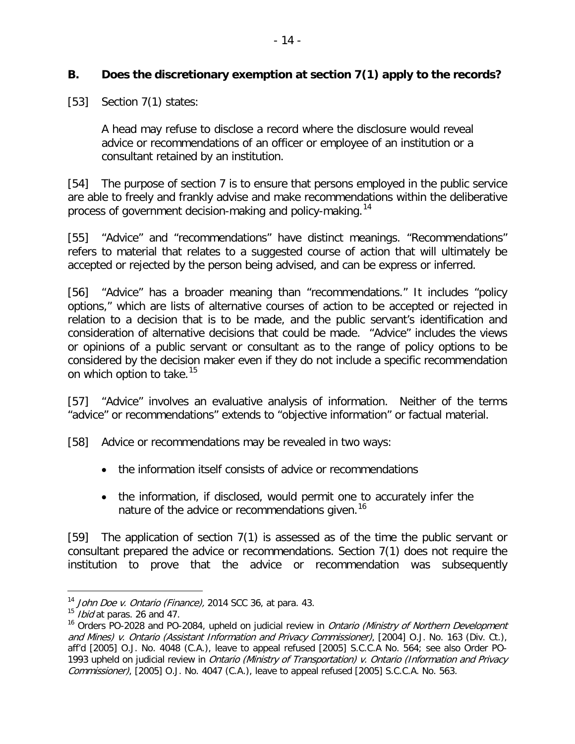#### **B. Does the discretionary exemption at section 7(1) apply to the records?**

[53] Section 7(1) states:

A head may refuse to disclose a record where the disclosure would reveal advice or recommendations of an officer or employee of an institution or a consultant retained by an institution.

[54] The purpose of section 7 is to ensure that persons employed in the public service are able to freely and frankly advise and make recommendations within the deliberative process of government decision-making and policy-making.<sup>[14](#page-13-0)</sup>

[55] "Advice" and "recommendations" have distinct meanings. "Recommendations" refers to material that relates to a suggested course of action that will ultimately be accepted or rejected by the person being advised, and can be express or inferred.

[56] "Advice" has a broader meaning than "recommendations." It includes "policy options," which are lists of alternative courses of action to be accepted or rejected in relation to a decision that is to be made, and the public servant's identification and consideration of alternative decisions that could be made. "Advice" includes the views or opinions of a public servant or consultant as to the range of policy options to be considered by the decision maker even if they do not include a specific recommendation on which option to take.<sup>[15](#page-13-1)</sup>

[57] "Advice" involves an evaluative analysis of information. Neither of the terms "advice" or recommendations" extends to "objective information" or factual material.

[58] Advice or recommendations may be revealed in two ways:

- the information itself consists of advice or recommendations
- the information, if disclosed, would permit one to accurately infer the nature of the advice or recommendations given.<sup>[16](#page-13-2)</sup>

[59] The application of section 7(1) is assessed as of the time the public servant or consultant prepared the advice or recommendations. Section 7(1) does not require the institution to prove that the advice or recommendation was subsequently

<span id="page-13-0"></span><sup>&</sup>lt;sup>14</sup> John Doe v. Ontario (Finance), 2014 SCC 36, at para. 43.

<span id="page-13-1"></span> $15$  *Ibid* at paras. 26 and 47.

<span id="page-13-2"></span><sup>&</sup>lt;sup>16</sup> Orders PO-2028 and PO-2084, upheld on judicial review in *Ontario (Ministry of Northern Development* and Mines) v. Ontario (Assistant Information and Privacy Commissioner), [2004] O.J. No. 163 (Div. Ct.), aff'd [2005] O.J. No. 4048 (C.A.), leave to appeal refused [2005] S.C.C.A No. 564; see also Order PO-1993 upheld on judicial review in *Ontario (Ministry of Transportation) v. Ontario (Information and Privacy* Commissioner), [2005] O.J. No. 4047 (C.A.), leave to appeal refused [2005] S.C.C.A. No. 563.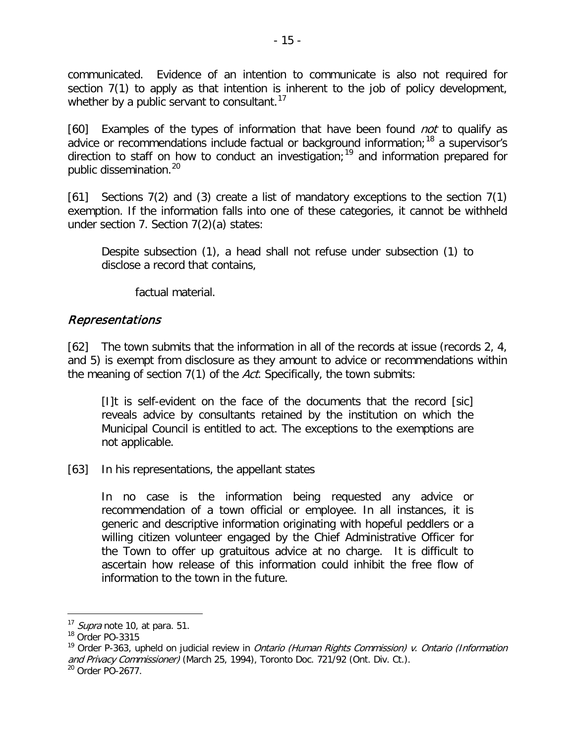communicated. Evidence of an intention to communicate is also not required for section 7(1) to apply as that intention is inherent to the job of policy development, whether by a public servant to consultant.<sup>[17](#page-14-0)</sup>

[60] Examples of the types of information that have been found *not* to qualify as advice or recommendations include factual or background information;<sup>[18](#page-14-1)</sup> a supervisor's direction to staff on how to conduct an investigation; [19](#page-14-2) and information prepared for public dissemination.<sup>[20](#page-14-3)</sup>

[61] Sections 7(2) and (3) create a list of mandatory exceptions to the section 7(1) exemption. If the information falls into one of these categories, it cannot be withheld under section 7. Section 7(2)(a) states:

Despite subsection (1), a head shall not refuse under subsection (1) to disclose a record that contains,

factual material.

# Representations

[62] The town submits that the information in all of the records at issue (records 2, 4, and 5) is exempt from disclosure as they amount to advice or recommendations within the meaning of section 7(1) of the Act. Specifically, the town submits:

[I]t is self-evident on the face of the documents that the record [sic] reveals advice by consultants retained by the institution on which the Municipal Council is entitled to act. The exceptions to the exemptions are not applicable.

[63] In his representations, the appellant states

In no case is the information being requested any advice or recommendation of a town official or employee. In all instances, it is generic and descriptive information originating with hopeful peddlers or a willing citizen volunteer engaged by the Chief Administrative Officer for the Town to offer up gratuitous advice at no charge. It is difficult to ascertain how release of this information could inhibit the free flow of information to the town in the future.

<span id="page-14-0"></span> $17$  *Supra* note 10, at para. 51.

<span id="page-14-1"></span> $18$  Order PO-3315

<span id="page-14-2"></span><sup>&</sup>lt;sup>19</sup> Order P-363, upheld on judicial review in *Ontario (Human Rights Commission) v. Ontario (Information* and Privacy Commissioner) (March 25, 1994), Toronto Doc. 721/92 (Ont. Div. Ct.).

<span id="page-14-3"></span><sup>&</sup>lt;sup>20</sup> Order PO-2677.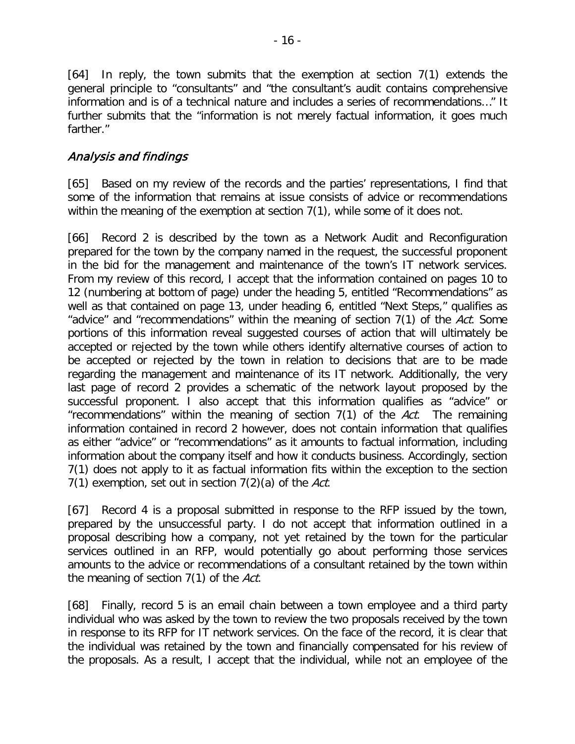[64] In reply, the town submits that the exemption at section 7(1) extends the general principle to "consultants" and "the consultant's audit contains comprehensive information and is of a technical nature and includes a series of recommendations…" It further submits that the "information is not merely factual information, it goes much farther."

### Analysis and findings

[65] Based on my review of the records and the parties' representations, I find that some of the information that remains at issue consists of advice or recommendations within the meaning of the exemption at section 7(1), while some of it does not.

[66] Record 2 is described by the town as a Network Audit and Reconfiguration prepared for the town by the company named in the request, the successful proponent in the bid for the management and maintenance of the town's IT network services. From my review of this record, I accept that the information contained on pages 10 to 12 (numbering at bottom of page) under the heading 5, entitled "Recommendations" as well as that contained on page 13, under heading 6, entitled "Next Steps," qualifies as "advice" and "recommendations" within the meaning of section 7(1) of the Act. Some portions of this information reveal suggested courses of action that will ultimately be accepted or rejected by the town while others identify alternative courses of action to be accepted or rejected by the town in relation to decisions that are to be made regarding the management and maintenance of its IT network. Additionally, the very last page of record 2 provides a schematic of the network layout proposed by the successful proponent. I also accept that this information qualifies as "advice" or "recommendations" within the meaning of section  $7(1)$  of the Act. The remaining information contained in record 2 however, does not contain information that qualifies as either "advice" or "recommendations" as it amounts to factual information, including information about the company itself and how it conducts business. Accordingly, section 7(1) does not apply to it as factual information fits within the exception to the section 7(1) exemption, set out in section  $7(2)(a)$  of the Act.

[67] Record 4 is a proposal submitted in response to the RFP issued by the town, prepared by the unsuccessful party. I do not accept that information outlined in a proposal describing how a company, not yet retained by the town for the particular services outlined in an RFP, would potentially go about performing those services amounts to the advice or recommendations of a consultant retained by the town within the meaning of section 7(1) of the Act.

[68] Finally, record 5 is an email chain between a town employee and a third party individual who was asked by the town to review the two proposals received by the town in response to its RFP for IT network services. On the face of the record, it is clear that the individual was retained by the town and financially compensated for his review of the proposals. As a result, I accept that the individual, while not an employee of the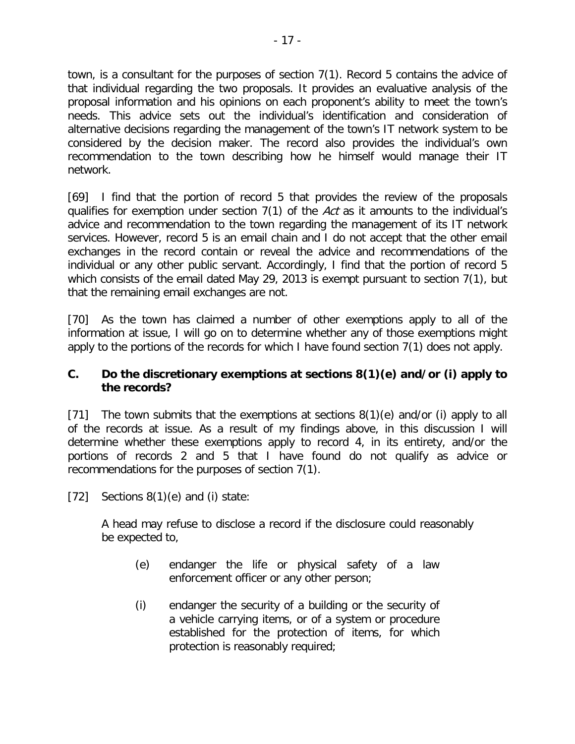town, is a consultant for the purposes of section 7(1). Record 5 contains the advice of that individual regarding the two proposals. It provides an evaluative analysis of the proposal information and his opinions on each proponent's ability to meet the town's needs. This advice sets out the individual's identification and consideration of alternative decisions regarding the management of the town's IT network system to be considered by the decision maker. The record also provides the individual's own recommendation to the town describing how he himself would manage their IT network.

[69] I find that the portion of record 5 that provides the review of the proposals qualifies for exemption under section  $7(1)$  of the Act as it amounts to the individual's advice and recommendation to the town regarding the management of its IT network services. However, record 5 is an email chain and I do not accept that the other email exchanges in the record contain or reveal the advice and recommendations of the individual or any other public servant. Accordingly, I find that the portion of record 5 which consists of the email dated May 29, 2013 is exempt pursuant to section 7(1), but that the remaining email exchanges are not.

[70] As the town has claimed a number of other exemptions apply to all of the information at issue, I will go on to determine whether any of those exemptions might apply to the portions of the records for which I have found section 7(1) does not apply.

#### **C. Do the discretionary exemptions at sections 8(1)(e) and/or (i) apply to the records?**

[71] The town submits that the exemptions at sections 8(1)(e) and/or (i) apply to all of the records at issue. As a result of my findings above, in this discussion I will determine whether these exemptions apply to record 4, in its entirety, and/or the portions of records 2 and 5 that I have found do not qualify as advice or recommendations for the purposes of section 7(1).

[72] Sections  $8(1)(e)$  and (i) state:

A head may refuse to disclose a record if the disclosure could reasonably be expected to,

- (e) endanger the life or physical safety of a law enforcement officer or any other person;
- (i) endanger the security of a building or the security of a vehicle carrying items, or of a system or procedure established for the protection of items, for which protection is reasonably required;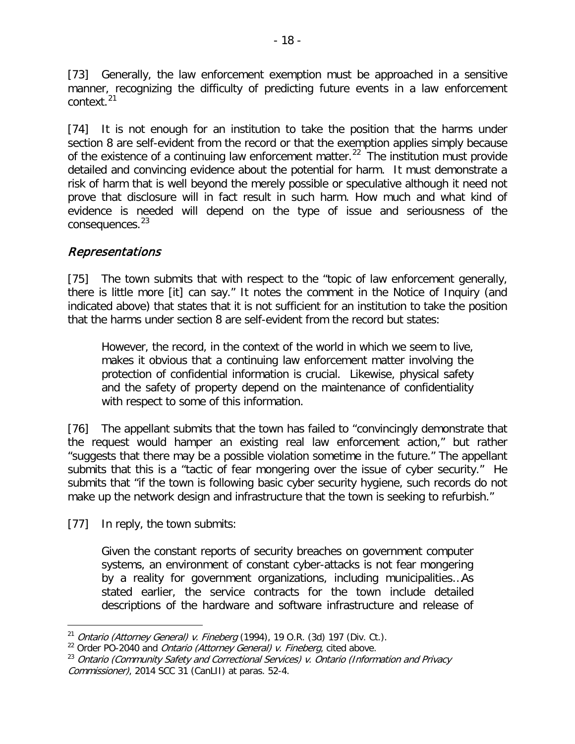[73] Generally, the law enforcement exemption must be approached in a sensitive manner, recognizing the difficulty of predicting future events in a law enforcement context.[21](#page-17-0)

[74] It is not enough for an institution to take the position that the harms under section 8 are self-evident from the record or that the exemption applies simply because of the existence of a continuing law enforcement matter.<sup>[22](#page-17-1)</sup> The institution must provide detailed and convincing evidence about the potential for harm. It must demonstrate a risk of harm that is well beyond the merely possible or speculative although it need not prove that disclosure will in fact result in such harm. How much and what kind of evidence is needed will depend on the type of issue and seriousness of the consequences.<sup>[23](#page-17-2)</sup>

# Representations

[75] The town submits that with respect to the "topic of law enforcement generally, there is little more [it] can say." It notes the comment in the Notice of Inquiry (and indicated above) that states that it is not sufficient for an institution to take the position that the harms under section 8 are self-evident from the record but states:

However, the record, in the context of the world in which we seem to live, makes it obvious that a continuing law enforcement matter involving the protection of confidential information is crucial. Likewise, physical safety and the safety of property depend on the maintenance of confidentiality with respect to some of this information.

[76] The appellant submits that the town has failed to "convincingly demonstrate that the request would hamper an existing real law enforcement action," but rather "suggests that there may be a possible violation sometime in the future." The appellant submits that this is a "tactic of fear mongering over the issue of cyber security." He submits that "if the town is following basic cyber security hygiene, such records do not make up the network design and infrastructure that the town is seeking to refurbish."

[77] In reply, the town submits:

 $\overline{a}$ 

Given the constant reports of security breaches on government computer systems, an environment of constant cyber-attacks is not fear mongering by a reality for government organizations, including municipalities…As stated earlier, the service contracts for the town include detailed descriptions of the hardware and software infrastructure and release of

<span id="page-17-0"></span><sup>&</sup>lt;sup>21</sup> Ontario (Attorney General) v. Fineberg (1994), 19 O.R. (3d) 197 (Div. Ct.). <sup>22</sup> Order PO-2040 and *Ontario (Attorney General) v. Fineberg*, cited above.

<span id="page-17-1"></span>

<span id="page-17-2"></span><sup>&</sup>lt;sup>23</sup> Ontario (Community Safety and Correctional Services) v. Ontario (Information and Privacy Commissioner), 2014 SCC 31 (CanLII) at paras. 52-4.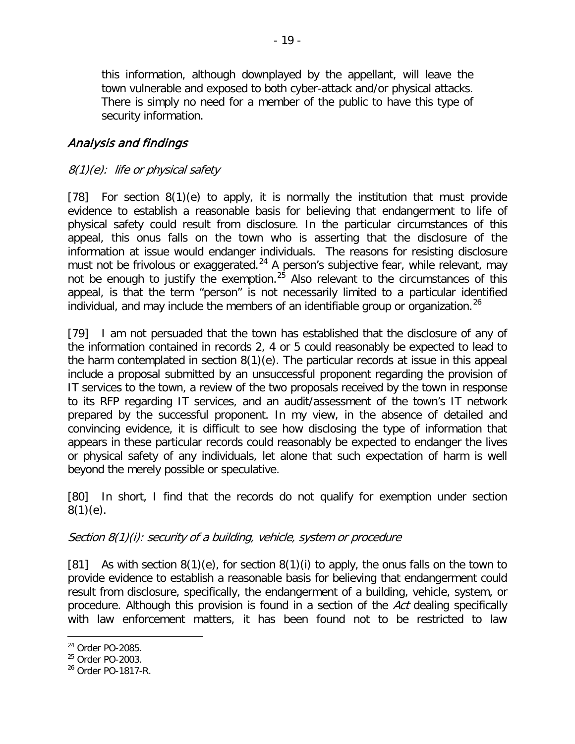this information, although downplayed by the appellant, will leave the town vulnerable and exposed to both cyber-attack and/or physical attacks. There is simply no need for a member of the public to have this type of security information.

# Analysis and findings

### 8(1)(e): life or physical safety

[78] For section 8(1)(e) to apply, it is normally the institution that must provide evidence to establish a reasonable basis for believing that endangerment to life of physical safety could result from disclosure. In the particular circumstances of this appeal, this onus falls on the town who is asserting that the disclosure of the information at issue would endanger individuals. The reasons for resisting disclosure must not be frivolous or exaggerated.<sup>[24](#page-18-0)</sup> A person's subjective fear, while relevant, may not be enough to justify the exemption.<sup>[25](#page-18-1)</sup> Also relevant to the circumstances of this appeal, is that the term "person" is not necessarily limited to a particular identified individual, and may include the members of an identifiable group or organization. [26](#page-18-2)

[79] I am not persuaded that the town has established that the disclosure of any of the information contained in records 2, 4 or 5 could reasonably be expected to lead to the harm contemplated in section 8(1)(e). The particular records at issue in this appeal include a proposal submitted by an unsuccessful proponent regarding the provision of IT services to the town, a review of the two proposals received by the town in response to its RFP regarding IT services, and an audit/assessment of the town's IT network prepared by the successful proponent. In my view, in the absence of detailed and convincing evidence, it is difficult to see how disclosing the type of information that appears in these particular records could reasonably be expected to endanger the lives or physical safety of any individuals, let alone that such expectation of harm is well beyond the merely possible or speculative.

[80] In short, I find that the records do not qualify for exemption under section  $8(1)(e)$ .

#### Section 8(1)(i): security of a building, vehicle, system or procedure

[81] As with section  $8(1)(e)$ , for section  $8(1)(i)$  to apply, the onus falls on the town to provide evidence to establish a reasonable basis for believing that endangerment could result from disclosure, specifically, the endangerment of a building, vehicle, system, or procedure. Although this provision is found in a section of the Act dealing specifically with law enforcement matters, it has been found not to be restricted to law

<span id="page-18-0"></span><sup>24</sup> Order PO-2085.  $\overline{a}$ 

<span id="page-18-1"></span><sup>&</sup>lt;sup>25</sup> Order PO-2003.

<span id="page-18-2"></span><sup>26</sup> Order PO-1817-R.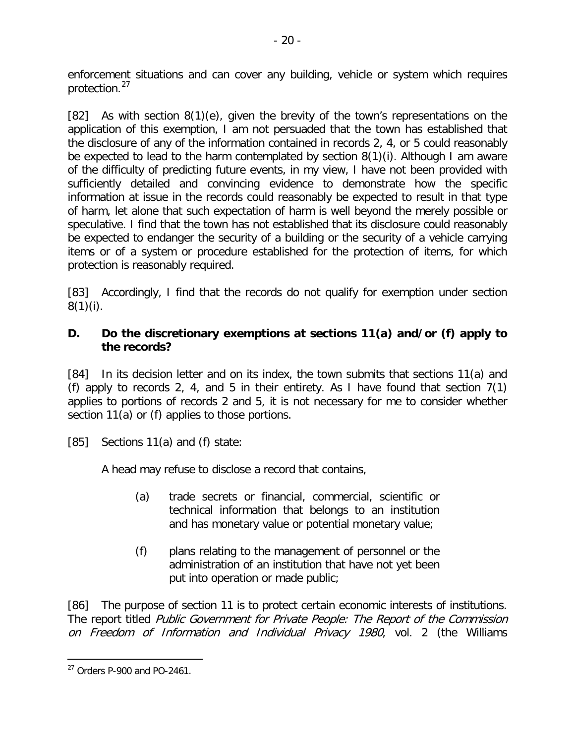enforcement situations and can cover any building, vehicle or system which requires protection.[27](#page-19-0)

[82] As with section 8(1)(e), given the brevity of the town's representations on the application of this exemption, I am not persuaded that the town has established that the disclosure of any of the information contained in records 2, 4, or 5 could reasonably be expected to lead to the harm contemplated by section 8(1)(i). Although I am aware of the difficulty of predicting future events, in my view, I have not been provided with sufficiently detailed and convincing evidence to demonstrate how the specific information at issue in the records could reasonably be expected to result in that type of harm, let alone that such expectation of harm is well beyond the merely possible or speculative. I find that the town has not established that its disclosure could reasonably be expected to endanger the security of a building or the security of a vehicle carrying items or of a system or procedure established for the protection of items, for which protection is reasonably required.

[83] Accordingly, I find that the records do not qualify for exemption under section  $8(1)(i)$ .

### **D. Do the discretionary exemptions at sections 11(a) and/or (f) apply to the records?**

[84] In its decision letter and on its index, the town submits that sections 11(a) and (f) apply to records 2, 4, and 5 in their entirety. As I have found that section  $7(1)$ applies to portions of records 2 and 5, it is not necessary for me to consider whether section 11(a) or (f) applies to those portions.

[85] Sections 11(a) and (f) state:

A head may refuse to disclose a record that contains,

- (a) trade secrets or financial, commercial, scientific or technical information that belongs to an institution and has monetary value or potential monetary value;
- (f) plans relating to the management of personnel or the administration of an institution that have not yet been put into operation or made public;

[86] The purpose of section 11 is to protect certain economic interests of institutions. The report titled Public Government for Private People: The Report of the Commission on Freedom of Information and Individual Privacy 1980, vol. 2 (the Williams

<span id="page-19-0"></span><sup>27</sup> Orders P-900 and PO-2461.  $\overline{a}$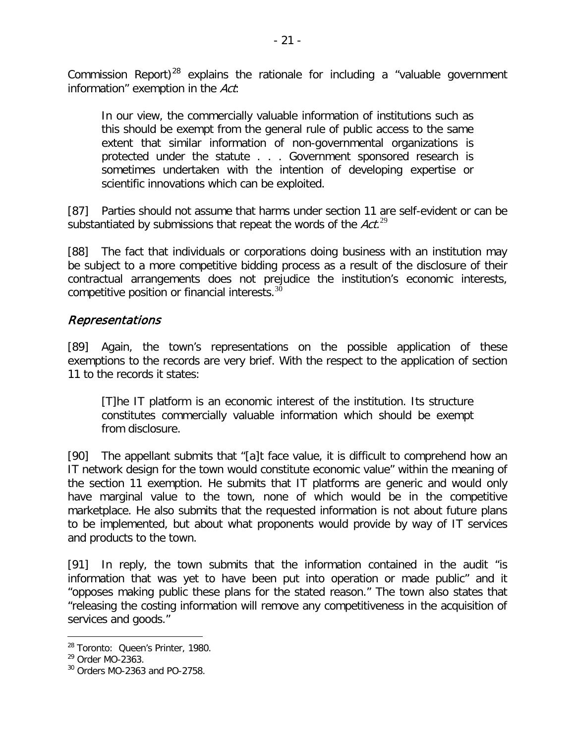Commission Report)<sup>[28](#page-20-0)</sup> explains the rationale for including a "valuable government information" exemption in the Act:

In our view, the commercially valuable information of institutions such as this should be exempt from the general rule of public access to the same extent that similar information of non-governmental organizations is protected under the statute . . . Government sponsored research is sometimes undertaken with the intention of developing expertise or scientific innovations which can be exploited.

[87] Parties should not assume that harms under section 11 are self-evident or can be substantiated by submissions that repeat the words of the  $Act.^{29}$  $Act.^{29}$  $Act.^{29}$ 

[88] The fact that individuals or corporations doing business with an institution may be subject to a more competitive bidding process as a result of the disclosure of their contractual arrangements does not prejudice the institution's economic interests, competitive position or financial interests.<sup>[30](#page-20-2)</sup>

### Representations

[89] Again, the town's representations on the possible application of these exemptions to the records are very brief. With the respect to the application of section 11 to the records it states:

[T]he IT platform is an economic interest of the institution. Its structure constitutes commercially valuable information which should be exempt from disclosure.

[90] The appellant submits that "[a]t face value, it is difficult to comprehend how an IT network design for the town would constitute economic value" within the meaning of the section 11 exemption. He submits that IT platforms are generic and would only have marginal value to the town, none of which would be in the competitive marketplace. He also submits that the requested information is not about future plans to be implemented, but about what proponents would provide by way of IT services and products to the town.

[91] In reply, the town submits that the information contained in the audit "is information that was yet to have been put into operation or made public" and it "opposes making public these plans for the stated reason." The town also states that "releasing the costing information will remove any competitiveness in the acquisition of services and goods."

<span id="page-20-0"></span><sup>&</sup>lt;sup>28</sup> Toronto: Queen's Printer, 1980.

<span id="page-20-1"></span><sup>&</sup>lt;sup>29</sup> Order MO-2363.

<span id="page-20-2"></span> $30$  Orders MO-2363 and PO-2758.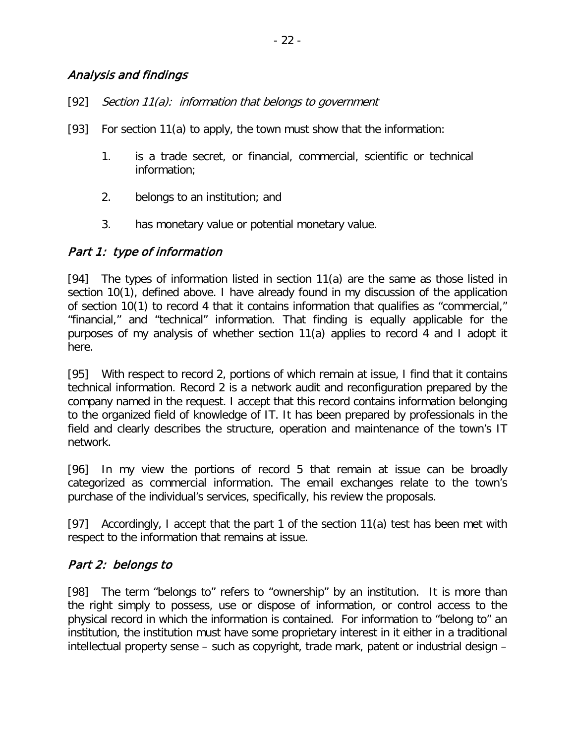#### Analysis and findings

- [92] Section 11(a): information that belongs to government
- [93] For section 11(a) to apply, the town must show that the information:
	- 1. is a trade secret, or financial, commercial, scientific or technical information;
	- 2. belongs to an institution; and
	- 3. has monetary value or potential monetary value.

#### Part 1: type of information

[94] The types of information listed in section 11(a) are the same as those listed in section 10(1), defined above. I have already found in my discussion of the application of section 10(1) to record 4 that it contains information that qualifies as "commercial," "financial," and "technical" information. That finding is equally applicable for the purposes of my analysis of whether section 11(a) applies to record 4 and I adopt it here.

[95] With respect to record 2, portions of which remain at issue, I find that it contains technical information. Record 2 is a network audit and reconfiguration prepared by the company named in the request. I accept that this record contains information belonging to the organized field of knowledge of IT. It has been prepared by professionals in the field and clearly describes the structure, operation and maintenance of the town's IT network.

[96] In my view the portions of record 5 that remain at issue can be broadly categorized as commercial information. The email exchanges relate to the town's purchase of the individual's services, specifically, his review the proposals.

[97] Accordingly, I accept that the part 1 of the section 11(a) test has been met with respect to the information that remains at issue.

#### Part 2: belongs to

[98] The term "belongs to" refers to "ownership" by an institution. It is more than the right simply to possess, use or dispose of information, or control access to the physical record in which the information is contained. For information to "belong to" an institution, the institution must have some proprietary interest in it either in a traditional intellectual property sense – such as copyright, trade mark, patent or industrial design –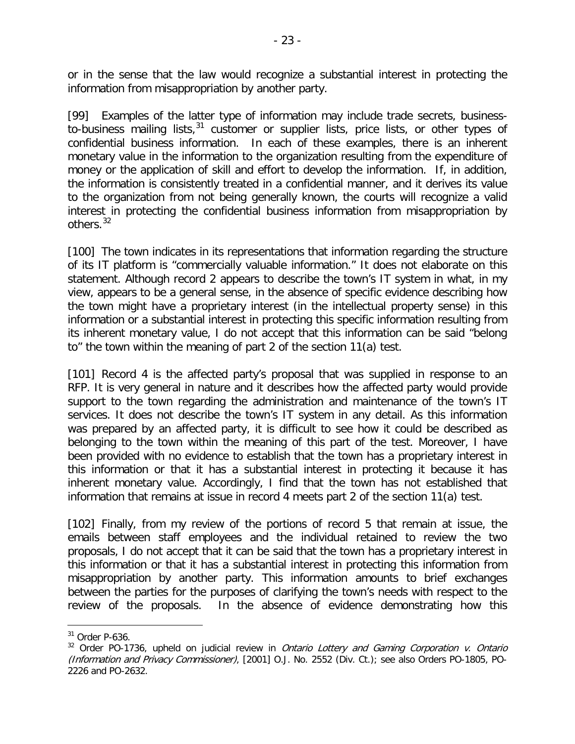or in the sense that the law would recognize a substantial interest in protecting the information from misappropriation by another party.

[99] Examples of the latter type of information may include trade secrets, business-to-business mailing lists,<sup>[31](#page-22-0)</sup> customer or supplier lists, price lists, or other types of confidential business information. In each of these examples, there is an inherent monetary value in the information to the organization resulting from the expenditure of money or the application of skill and effort to develop the information. If, in addition, the information is consistently treated in a confidential manner, and it derives its value to the organization from not being generally known, the courts will recognize a valid interest in protecting the confidential business information from misappropriation by others.<sup>[32](#page-22-1)</sup>

[100] The town indicates in its representations that information regarding the structure of its IT platform is "commercially valuable information." It does not elaborate on this statement. Although record 2 appears to describe the town's IT system in what, in my view, appears to be a general sense, in the absence of specific evidence describing how the town might have a proprietary interest (in the intellectual property sense) in this information or a substantial interest in protecting this specific information resulting from its inherent monetary value, I do not accept that this information can be said "belong to" the town within the meaning of part 2 of the section 11(a) test.

[101] Record 4 is the affected party's proposal that was supplied in response to an RFP. It is very general in nature and it describes how the affected party would provide support to the town regarding the administration and maintenance of the town's IT services. It does not describe the town's IT system in any detail. As this information was prepared by an affected party, it is difficult to see how it could be described as belonging to the town within the meaning of this part of the test. Moreover, I have been provided with no evidence to establish that the town has a proprietary interest in this information or that it has a substantial interest in protecting it because it has inherent monetary value. Accordingly, I find that the town has not established that information that remains at issue in record 4 meets part 2 of the section 11(a) test.

[102] Finally, from my review of the portions of record 5 that remain at issue, the emails between staff employees and the individual retained to review the two proposals, I do not accept that it can be said that the town has a proprietary interest in this information or that it has a substantial interest in protecting this information from misappropriation by another party. This information amounts to brief exchanges between the parties for the purposes of clarifying the town's needs with respect to the review of the proposals. In the absence of evidence demonstrating how this

<span id="page-22-0"></span><sup>31</sup> Order P-636.

<span id="page-22-1"></span> $32$  Order PO-1736, upheld on judicial review in *Ontario Lottery and Gaming Corporation v. Ontario* (Information and Privacy Commissioner), [2001] O.J. No. 2552 (Div. Ct.); see also Orders PO-1805, PO-2226 and PO-2632.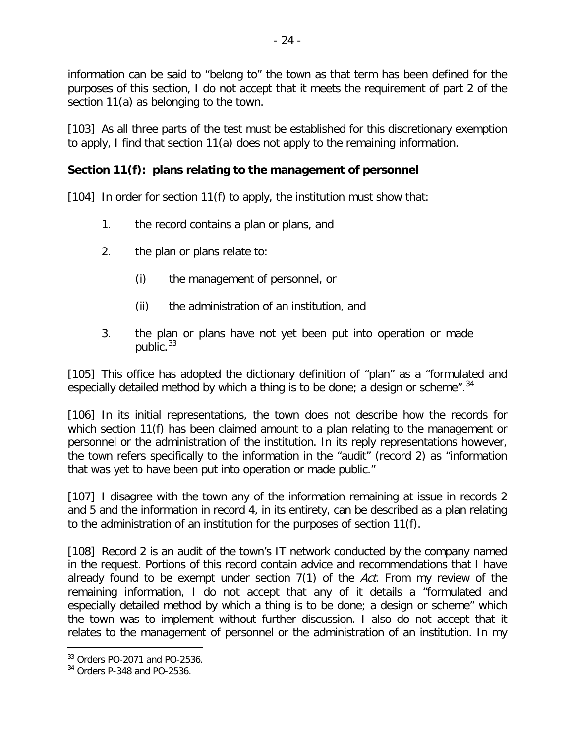information can be said to "belong to" the town as that term has been defined for the purposes of this section, I do not accept that it meets the requirement of part 2 of the section 11(a) as belonging to the town.

[103] As all three parts of the test must be established for this discretionary exemption to apply, I find that section 11(a) does not apply to the remaining information.

### **Section 11(f): plans relating to the management of personnel**

[104] In order for section 11(f) to apply, the institution must show that:

- 1. the record contains a plan or plans, and
- 2. the plan or plans relate to:
	- (i) the management of personnel, or
	- (ii) the administration of an institution, and
- 3. the plan or plans have not yet been put into operation or made public.<sup>[33](#page-23-0)</sup>

[105] This office has adopted the dictionary definition of "plan" as a "formulated and especially detailed method by which a thing is to be done; a design or scheme".  $34$ 

[106] In its initial representations, the town does not describe how the records for which section 11(f) has been claimed amount to a plan relating to the management or personnel or the administration of the institution. In its reply representations however, the town refers specifically to the information in the "audit" (record 2) as "information that was yet to have been put into operation or made public."

[107] I disagree with the town any of the information remaining at issue in records 2 and 5 and the information in record 4, in its entirety, can be described as a plan relating to the administration of an institution for the purposes of section 11(f).

[108] Record 2 is an audit of the town's IT network conducted by the company named in the request. Portions of this record contain advice and recommendations that I have already found to be exempt under section 7(1) of the Act. From my review of the remaining information, I do not accept that any of it details a "formulated and especially detailed method by which a thing is to be done; a design or scheme" which the town was to implement without further discussion. I also do not accept that it relates to the management of personnel or the administration of an institution. In my

<span id="page-23-0"></span><sup>33</sup> Orders PO-2071 and PO-2536.

<span id="page-23-1"></span><sup>34</sup> Orders P-348 and PO-2536.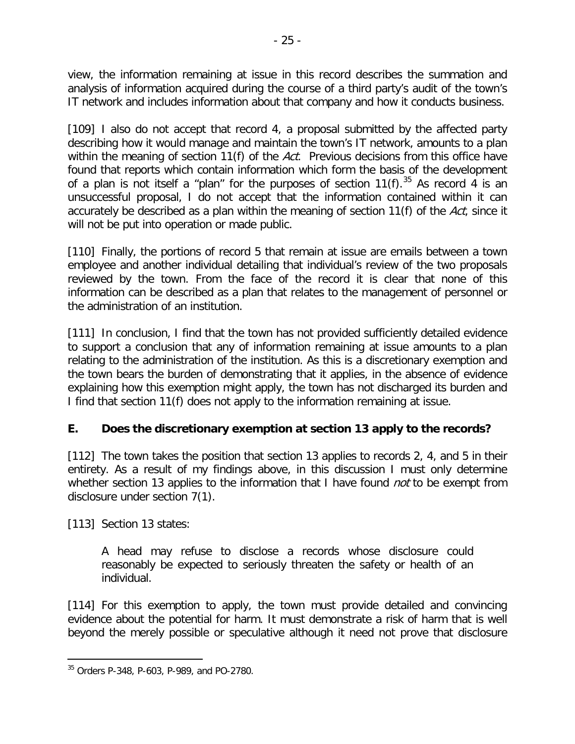view, the information remaining at issue in this record describes the summation and analysis of information acquired during the course of a third party's audit of the town's IT network and includes information about that company and how it conducts business.

[109] I also do not accept that record 4, a proposal submitted by the affected party describing how it would manage and maintain the town's IT network, amounts to a plan within the meaning of section 11(f) of the Act. Previous decisions from this office have found that reports which contain information which form the basis of the development of a plan is not itself a "plan" for the purposes of section  $11(f)$ .<sup>[35](#page-24-0)</sup> As record 4 is an unsuccessful proposal, I do not accept that the information contained within it can accurately be described as a plan within the meaning of section 11(f) of the Act, since it will not be put into operation or made public.

[110] Finally, the portions of record 5 that remain at issue are emails between a town employee and another individual detailing that individual's review of the two proposals reviewed by the town. From the face of the record it is clear that none of this information can be described as a plan that relates to the management of personnel or the administration of an institution.

[111] In conclusion, I find that the town has not provided sufficiently detailed evidence to support a conclusion that any of information remaining at issue amounts to a plan relating to the administration of the institution. As this is a discretionary exemption and the town bears the burden of demonstrating that it applies, in the absence of evidence explaining how this exemption might apply, the town has not discharged its burden and I find that section 11(f) does not apply to the information remaining at issue.

# **E. Does the discretionary exemption at section 13 apply to the records?**

[112] The town takes the position that section 13 applies to records 2, 4, and 5 in their entirety. As a result of my findings above, in this discussion I must only determine whether section 13 applies to the information that I have found *not* to be exempt from disclosure under section 7(1).

[113] Section 13 states:

A head may refuse to disclose a records whose disclosure could reasonably be expected to seriously threaten the safety or health of an individual.

[114] For this exemption to apply, the town must provide detailed and convincing evidence about the potential for harm. It must demonstrate a risk of harm that is well beyond the merely possible or speculative although it need not prove that disclosure

<span id="page-24-0"></span><sup>35</sup> Orders P-348, P-603, P-989, and PO-2780.  $\overline{a}$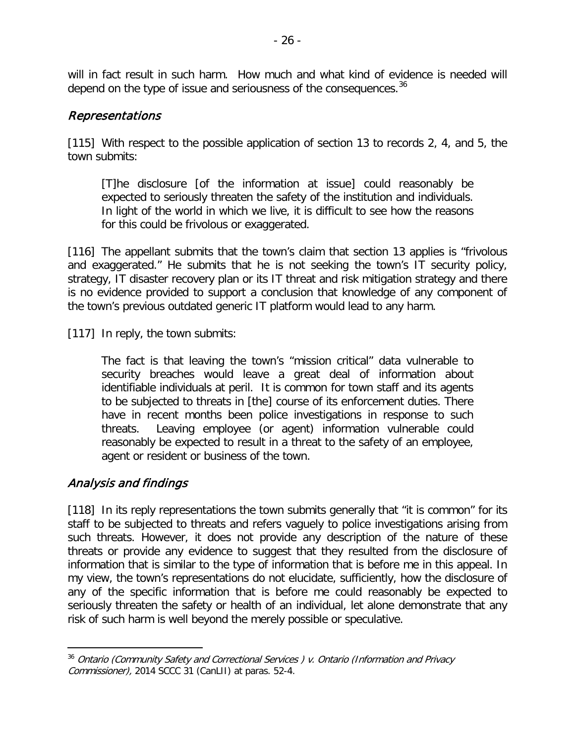will in fact result in such harm. How much and what kind of evidence is needed will depend on the type of issue and seriousness of the consequences.<sup>[36](#page-25-0)</sup>

### Representations

[115] With respect to the possible application of section 13 to records 2, 4, and 5, the town submits:

[T]he disclosure [of the information at issue] could reasonably be expected to seriously threaten the safety of the institution and individuals. In light of the world in which we live, it is difficult to see how the reasons for this could be frivolous or exaggerated.

[116] The appellant submits that the town's claim that section 13 applies is "frivolous and exaggerated." He submits that he is not seeking the town's IT security policy, strategy, IT disaster recovery plan or its IT threat and risk mitigation strategy and there is no evidence provided to support a conclusion that knowledge of any component of the town's previous outdated generic IT platform would lead to any harm.

[117] In reply, the town submits:

The fact is that leaving the town's "mission critical" data vulnerable to security breaches would leave a great deal of information about identifiable individuals at peril. It is common for town staff and its agents to be subjected to threats in [the] course of its enforcement duties. There have in recent months been police investigations in response to such threats. Leaving employee (or agent) information vulnerable could reasonably be expected to result in a threat to the safety of an employee, agent or resident or business of the town.

#### Analysis and findings

 $\overline{a}$ 

[118] In its reply representations the town submits generally that "it is common" for its staff to be subjected to threats and refers vaguely to police investigations arising from such threats. However, it does not provide any description of the nature of these threats or provide any evidence to suggest that they resulted from the disclosure of information that is similar to the type of information that is before me in this appeal. In my view, the town's representations do not elucidate, sufficiently, how the disclosure of any of the specific information that is before me could reasonably be expected to seriously threaten the safety or health of an individual, let alone demonstrate that any risk of such harm is well beyond the merely possible or speculative.

<span id="page-25-0"></span><sup>&</sup>lt;sup>36</sup> Ontario (Community Safety and Correctional Services) v. Ontario (Information and Privacy Commissioner), 2014 SCCC 31 (CanLII) at paras. 52-4.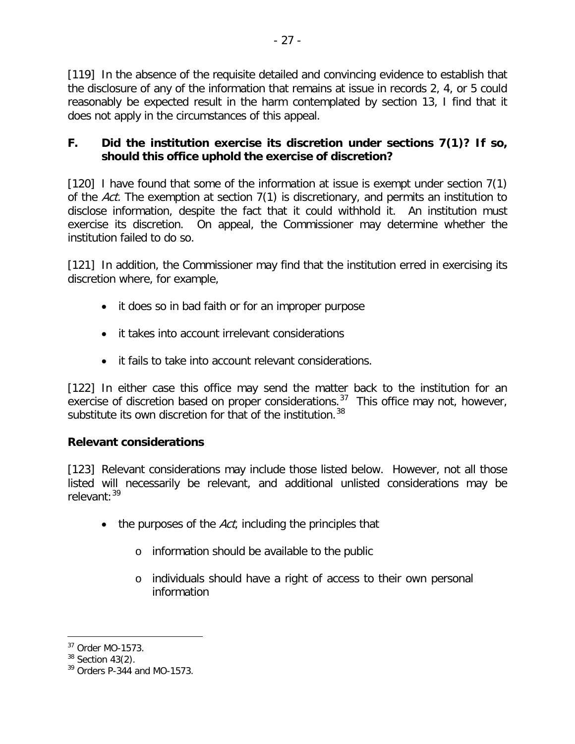[119] In the absence of the requisite detailed and convincing evidence to establish that the disclosure of any of the information that remains at issue in records 2, 4, or 5 could reasonably be expected result in the harm contemplated by section 13, I find that it does not apply in the circumstances of this appeal.

### **F. Did the institution exercise its discretion under sections 7(1)? If so, should this office uphold the exercise of discretion?**

[120] I have found that some of the information at issue is exempt under section 7(1) of the Act. The exemption at section 7(1) is discretionary, and permits an institution to disclose information, despite the fact that it could withhold it. An institution must exercise its discretion. On appeal, the Commissioner may determine whether the institution failed to do so.

[121] In addition, the Commissioner may find that the institution erred in exercising its discretion where, for example,

- it does so in bad faith or for an improper purpose
- it takes into account irrelevant considerations
- it fails to take into account relevant considerations.

[122] In either case this office may send the matter back to the institution for an exercise of discretion based on proper considerations.<sup>37</sup> This office may not, however, substitute its own discretion for that of the institution.<sup>[38](#page-26-1)</sup>

# **Relevant considerations**

[123] Relevant considerations may include those listed below. However, not all those listed will necessarily be relevant, and additional unlisted considerations may be relevant:[39](#page-26-2)

- $\bullet$  the purposes of the Act, including the principles that
	- o information should be available to the public
	- o individuals should have a right of access to their own personal information

<sup>37</sup> Order MO-1573.  $\overline{a}$ 

<span id="page-26-1"></span><span id="page-26-0"></span> $38$  Section 43(2).

<span id="page-26-2"></span> $39$  Orders P-344 and MO-1573.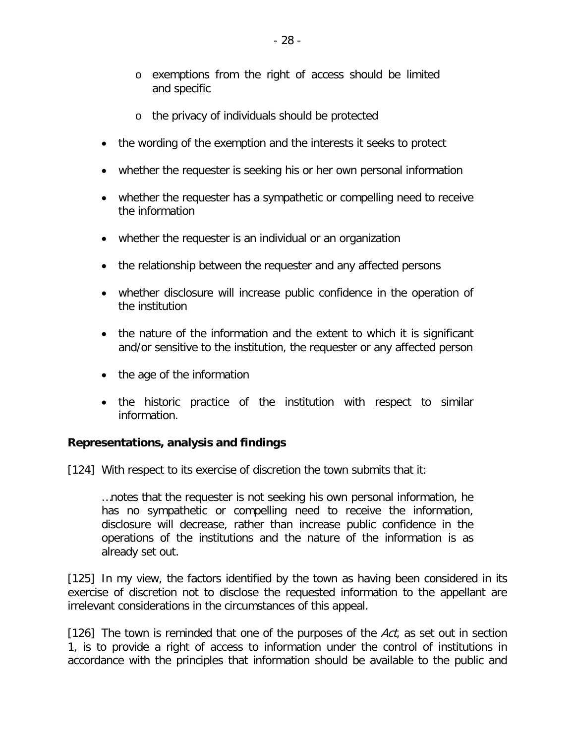- o exemptions from the right of access should be limited and specific
- o the privacy of individuals should be protected
- the wording of the exemption and the interests it seeks to protect
- whether the requester is seeking his or her own personal information
- whether the requester has a sympathetic or compelling need to receive the information
- whether the requester is an individual or an organization
- the relationship between the requester and any affected persons
- whether disclosure will increase public confidence in the operation of the institution
- the nature of the information and the extent to which it is significant and/or sensitive to the institution, the requester or any affected person
- the age of the information
- the historic practice of the institution with respect to similar information.

#### **Representations, analysis and findings**

[124] With respect to its exercise of discretion the town submits that it:

…notes that the requester is not seeking his own personal information, he has no sympathetic or compelling need to receive the information, disclosure will decrease, rather than increase public confidence in the operations of the institutions and the nature of the information is as already set out.

[125] In my view, the factors identified by the town as having been considered in its exercise of discretion not to disclose the requested information to the appellant are irrelevant considerations in the circumstances of this appeal.

[126] The town is reminded that one of the purposes of the  $Act$ , as set out in section 1, is to provide a right of access to information under the control of institutions in accordance with the principles that information should be available to the public and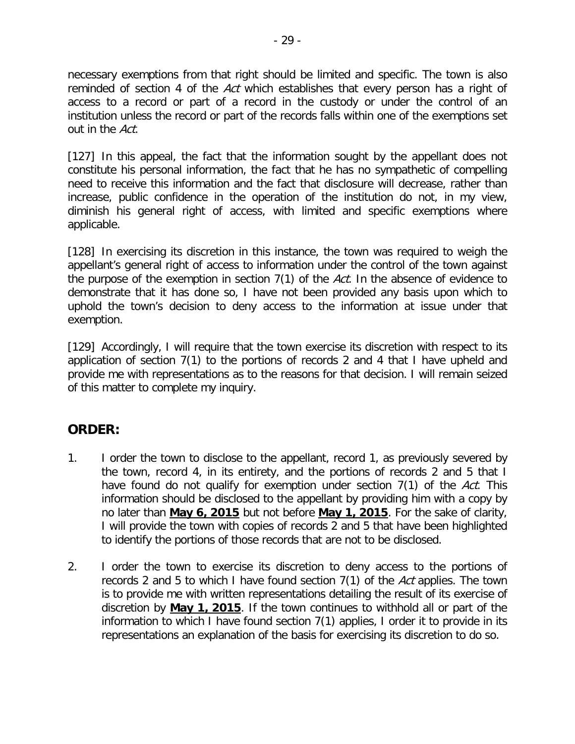necessary exemptions from that right should be limited and specific. The town is also reminded of section 4 of the Act which establishes that every person has a right of access to a record or part of a record in the custody or under the control of an institution unless the record or part of the records falls within one of the exemptions set out in the Act.

[127] In this appeal, the fact that the information sought by the appellant does not constitute his personal information, the fact that he has no sympathetic of compelling need to receive this information and the fact that disclosure will decrease, rather than increase, public confidence in the operation of the institution do not, in my view, diminish his general right of access, with limited and specific exemptions where applicable.

[128] In exercising its discretion in this instance, the town was required to weigh the appellant's general right of access to information under the control of the town against the purpose of the exemption in section 7(1) of the Act. In the absence of evidence to demonstrate that it has done so, I have not been provided any basis upon which to uphold the town's decision to deny access to the information at issue under that exemption.

[129] Accordingly, I will require that the town exercise its discretion with respect to its application of section 7(1) to the portions of records 2 and 4 that I have upheld and provide me with representations as to the reasons for that decision. I will remain seized of this matter to complete my inquiry.

# **ORDER:**

- 1. I order the town to disclose to the appellant, record 1, as previously severed by the town, record 4, in its entirety, and the portions of records 2 and 5 that I have found do not qualify for exemption under section 7(1) of the Act. This information should be disclosed to the appellant by providing him with a copy by no later than **May 6, 2015** but not before **May 1, 2015**. For the sake of clarity, I will provide the town with copies of records 2 and 5 that have been highlighted to identify the portions of those records that are not to be disclosed.
- 2. I order the town to exercise its discretion to deny access to the portions of records 2 and 5 to which I have found section  $7(1)$  of the Act applies. The town is to provide me with written representations detailing the result of its exercise of discretion by **May 1, 2015**. If the town continues to withhold all or part of the information to which I have found section 7(1) applies, I order it to provide in its representations an explanation of the basis for exercising its discretion to do so.